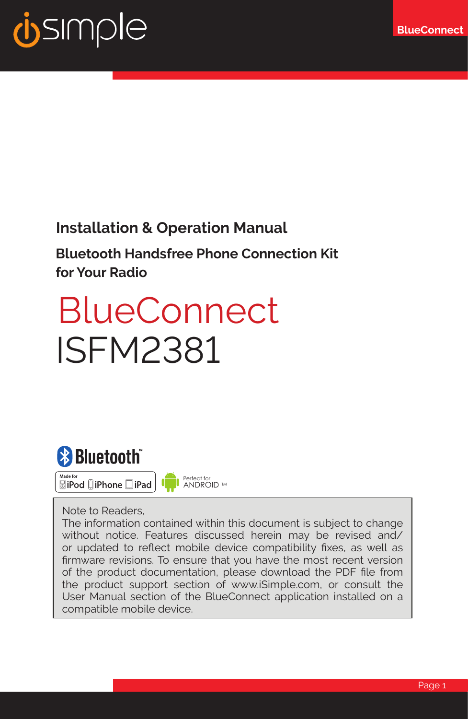# **Installation & Operation Manual**

## **Bluetooth Handsfree Phone Connection Kit for Your Radio**

# **BlueConnect** ISFM2381



**SiPod □iPhone □iPad** 



Note to Readers,

The information contained within this document is subject to change without notice. Features discussed herein may be revised and/ or updated to reflect mobile device compatibility fixes, as well as firmware revisions. To ensure that you have the most recent version of the product documentation, please download the PDF file from the product support section of www.iSimple.com, or consult the User Manual section of the BlueConnect application installed on a compatible mobile device.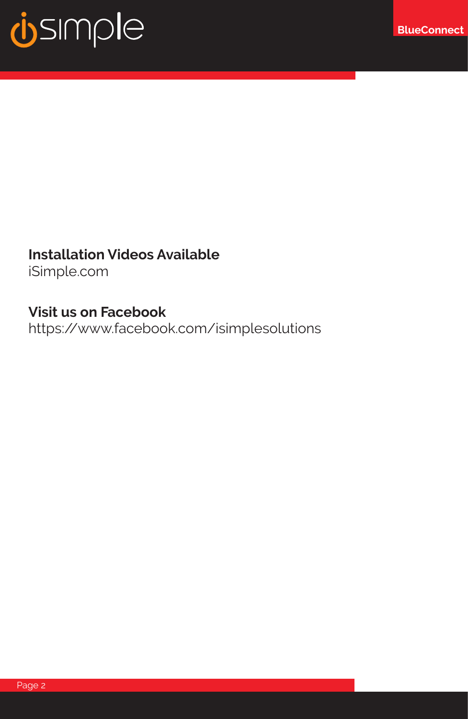

## **Installation Videos Available**

iSimple.com

## **Visit us on Facebook**

https://www.facebook.com/isimplesolutions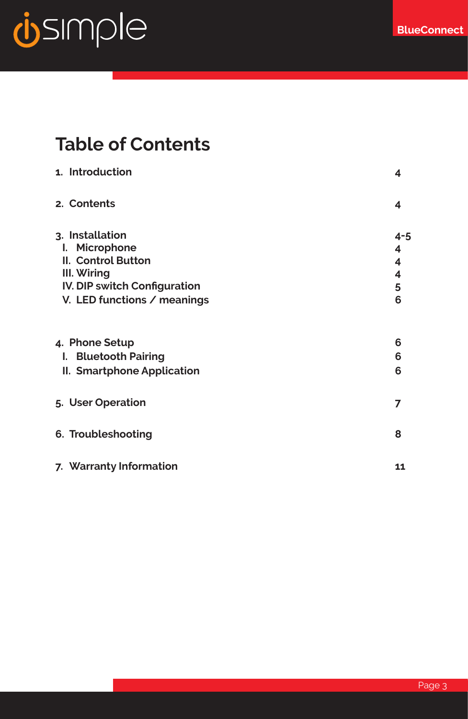# **j**simple

# **Table of Contents**

| 1. Introduction                                                      | 4           |
|----------------------------------------------------------------------|-------------|
| 2. Contents                                                          | 4           |
| 3. Installation                                                      | $4 - 5$     |
| I. Microphone                                                        | 4           |
| II. Control Button                                                   | 4           |
| III. Wiring                                                          | 4           |
| IV. DIP switch Configuration                                         | 5           |
| V. LED functions / meanings                                          | 6           |
| 4. Phone Setup<br>I. Bluetooth Pairing<br>II. Smartphone Application | 6<br>6<br>6 |
| 5. User Operation                                                    | 7           |
| 6. Troubleshooting                                                   | 8           |
| 7. Warranty Information                                              | 11          |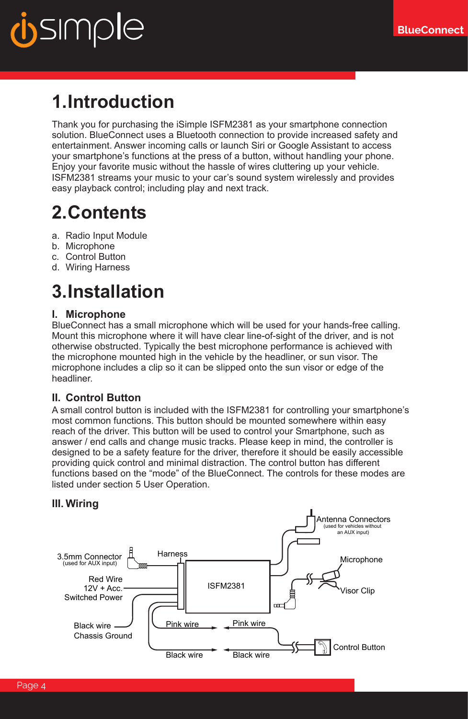# domizdi

# **1.Introduction**

Thank you for purchasing the iSimple ISFM2381 as your smartphone connection solution. BlueConnect uses a Bluetooth connection to provide increased safety and entertainment. Answer incoming calls or launch Siri or Google Assistant to access your smartphone's functions at the press of a button, without handling your phone. Enjoy your favorite music without the hassle of wires cluttering up your vehicle. ISFM2381 streams your music to your car's sound system wirelessly and provides easy playback control; including play and next track.

# **2.Contents**

- a. Radio Input Module
- b. Microphone
- c. Control Button
- d. Wiring Harness

# **3.Installation**

### **I. Microphone**

BlueConnect has a small microphone which will be used for your hands-free calling. Mount this microphone where it will have clear line-of-sight of the driver, and is not otherwise obstructed. Typically the best microphone performance is achieved with the microphone mounted high in the vehicle by the headliner, or sun visor. The microphone includes a clip so it can be slipped onto the sun visor or edge of the headliner.

### **II. Control Button**

A small control button is included with the ISFM2381 for controlling your smartphone's most common functions. This button should be mounted somewhere within easy reach of the driver. This button will be used to control your Smartphone, such as answer / end calls and change music tracks. Please keep in mind, the controller is designed to be a safety feature for the driver, therefore it should be easily accessible providing quick control and minimal distraction. The control button has different functions based on the "mode" of the BlueConnect. The controls for these modes are listed under section 5 User Operation.

## **III. Wiring**

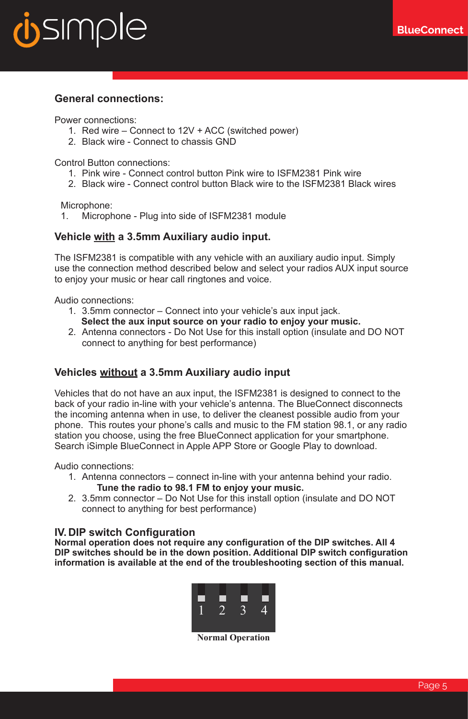# domple

Power connections:

- 1. Red wire Connect to 12V + ACC (switched power)
- 2. Black wire Connect to chassis GND

Control Button connections:

- 1. Pink wire Connect control button Pink wire to ISFM2381 Pink wire
- 2. Black wire Connect control button Black wire to the ISFM2381 Black wires

Microphone:

1. Microphone - Plug into side of ISFM2381 module

## **Vehicle with a 3.5mm Auxiliary audio input.**

The ISFM2381 is compatible with any vehicle with an auxiliary audio input. Simply use the connection method described below and select your radios AUX input source to enjoy your music or hear call ringtones and voice.

Audio connections:

- 1. 3.5mm connector Connect into your vehicle's aux input jack. **Select the aux input source on your radio to enjoy your music.**
- 2. Antenna connectors Do Not Use for this install option (insulate and DO NOT connect to anything for best performance)

## **Vehicles without a 3.5mm Auxiliary audio input**

Vehicles that do not have an aux input, the ISFM2381 is designed to connect to the back of your radio in-line with your vehicle's antenna. The BlueConnect disconnects the incoming antenna when in use, to deliver the cleanest possible audio from your phone. This routes your phone's calls and music to the FM station 98.1, or any radio station you choose, using the free BlueConnect application for your smartphone. Search iSimple BlueConnect in Apple APP Store or Google Play to download.

Audio connections:

- 1. Antenna connectors connect in-line with your antenna behind your radio. **Tune the radio to 98.1 FM to enjoy your music.**
- 2. 3.5mm connector Do Not Use for this install option (insulate and DO NOT connect to anything for best performance)

## **IV. DIP switch Configuration**

**Normal operation does not require any configuration of the DIP switches. All 4 DIP switches should be in the down position. Additional DIP switch configuration information is available at the end of the troubleshooting section of this manual.**



**Normal Operation**

**BlueConnect**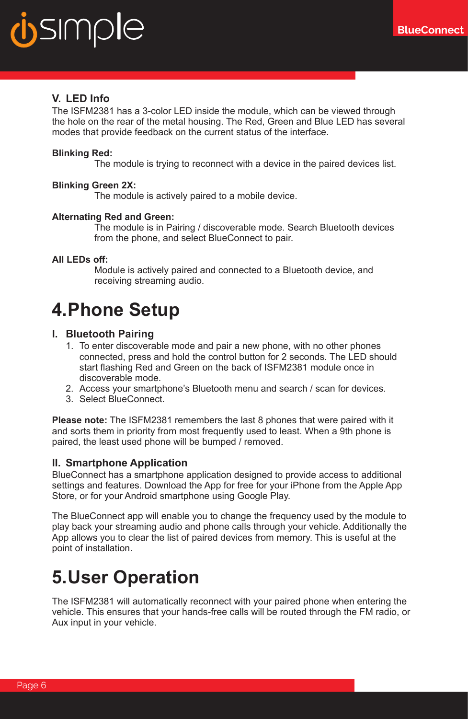# *js* mple

### **V. LED Info**

The ISFM2381 has a 3-color LED inside the module, which can be viewed through the hole on the rear of the metal housing. The Red, Green and Blue LED has several modes that provide feedback on the current status of the interface.

#### **Blinking Red:**

The module is trying to reconnect with a device in the paired devices list.

#### **Blinking Green 2X:**

The module is actively paired to a mobile device.

#### **Alternating Red and Green:**

The module is in Pairing / discoverable mode. Search Bluetooth devices from the phone, and select BlueConnect to pair.

#### **All LEDs off:**

Module is actively paired and connected to a Bluetooth device, and receiving streaming audio.

# **4.Phone Setup**

#### **I. Bluetooth Pairing**

- 1. To enter discoverable mode and pair a new phone, with no other phones connected, press and hold the control button for 2 seconds. The LED should start flashing Red and Green on the back of ISFM2381 module once in discoverable mode.
- 2. Access your smartphone's Bluetooth menu and search / scan for devices.
- 3. Select BlueConnect.

**Please note:** The ISFM2381 remembers the last 8 phones that were paired with it and sorts them in priority from most frequently used to least. When a 9th phone is paired, the least used phone will be bumped / removed.

#### **II. Smartphone Application**

BlueConnect has a smartphone application designed to provide access to additional settings and features. Download the App for free for your iPhone from the Apple App Store, or for your Android smartphone using Google Play.

The BlueConnect app will enable you to change the frequency used by the module to play back your streaming audio and phone calls through your vehicle. Additionally the App allows you to clear the list of paired devices from memory. This is useful at the point of installation.

# **5.User Operation**

The ISFM2381 will automatically reconnect with your paired phone when entering the vehicle. This ensures that your hands-free calls will be routed through the FM radio, or Aux input in your vehicle.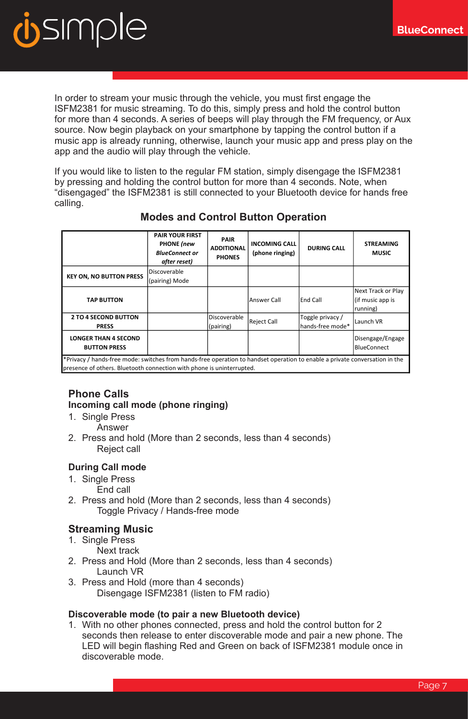# domizdo

In order to stream your music through the vehicle, you must first engage the ISFM2381 for music streaming. To do this, simply press and hold the control button for more than 4 seconds. A series of beeps will play through the FM frequency, or Aux source. Now begin playback on your smartphone by tapping the control button if a music app is already running, otherwise, launch your music app and press play on the app and the audio will play through the vehicle.

If you would like to listen to the regular FM station, simply disengage the ISFM2381 by pressing and holding the control button for more than 4 seconds. Note, when "disengaged" the ISFM2381 is still connected to your Bluetooth device for hands free calling.

|                                                                                                                             | <b>PAIR YOUR FIRST</b><br><b>PHONE</b> (new<br><b>BlueConnect or</b><br>after reset) | <b>PAIR</b><br><b>ADDITIONAL</b><br><b>PHONES</b> | <b>INCOMING CALL</b><br>(phone ringing) | <b>DURING CALL</b>                   | <b>STREAMING</b><br><b>MUSIC</b>                   |
|-----------------------------------------------------------------------------------------------------------------------------|--------------------------------------------------------------------------------------|---------------------------------------------------|-----------------------------------------|--------------------------------------|----------------------------------------------------|
| <b>KEY ON. NO BUTTON PRESS</b>                                                                                              | Discoverable<br>(pairing) Mode                                                       |                                                   |                                         |                                      |                                                    |
| <b>TAP BUTTON</b>                                                                                                           |                                                                                      |                                                   | Answer Call                             | <b>End Call</b>                      | Next Track or Play<br>(if music app is<br>running) |
| <b>2 TO 4 SECOND BUTTON</b><br><b>PRESS</b>                                                                                 |                                                                                      | Discoverable<br>(pairing)                         | <b>Reject Call</b>                      | Toggle privacy /<br>hands-free mode* | Launch VR                                          |
| <b>LONGER THAN 4 SECOND</b><br><b>BUTTON PRESS</b>                                                                          |                                                                                      |                                                   |                                         |                                      | Disengage/Engage<br><b>BlueConnect</b>             |
| *Privacy / hands-free mode: switches from hands-free operation to handset operation to enable a private conversation in the |                                                                                      |                                                   |                                         |                                      |                                                    |

## **Modes and Control Button Operation**

presence of others. Bluetooth connection with phone is uninterrupted.

## **Phone Calls**

### **Incoming call mode (phone ringing)**

- 1. Single Press **Answer**
- 2. Press and hold (More than 2 seconds, less than 4 seconds) Reject call

### **During Call mode**

- 1. Single Press
- End call
- 2. Press and hold (More than 2 seconds, less than 4 seconds) Toggle Privacy / Hands-free mode

## **Streaming Music**

- 1. Single Press
	- Next track
- 2. Press and Hold (More than 2 seconds, less than 4 seconds) Launch VR
- 3. Press and Hold (more than 4 seconds) Disengage ISFM2381 (listen to FM radio)

### **Discoverable mode (to pair a new Bluetooth device)**

1. With no other phones connected, press and hold the control button for 2 seconds then release to enter discoverable mode and pair a new phone. The LED will begin flashing Red and Green on back of ISFM2381 module once in discoverable mode.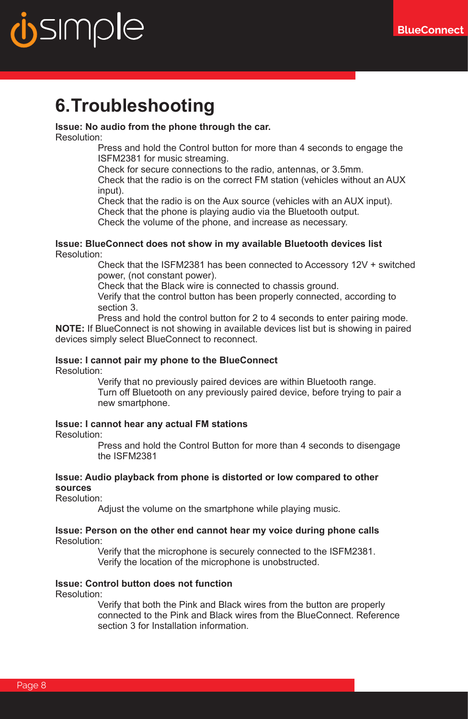# *SIMple*

# **6.Troubleshooting**

#### **Issue: No audio from the phone through the car.**

Resolution:

Press and hold the Control button for more than 4 seconds to engage the ISFM2381 for music streaming.

Check for secure connections to the radio, antennas, or 3.5mm.

Check that the radio is on the correct FM station (vehicles without an AUX input).

Check that the radio is on the Aux source (vehicles with an AUX input).

Check that the phone is playing audio via the Bluetooth output.

Check the volume of the phone, and increase as necessary.

#### **Issue: BlueConnect does not show in my available Bluetooth devices list** Resolution:

Check that the ISFM2381 has been connected to Accessory 12V + switched power, (not constant power).

Check that the Black wire is connected to chassis ground.

Verify that the control button has been properly connected, according to section 3.

Press and hold the control button for 2 to 4 seconds to enter pairing mode. **NOTE:** If BlueConnect is not showing in available devices list but is showing in paired devices simply select BlueConnect to reconnect.

### **Issue: I cannot pair my phone to the BlueConnect**

Resolution:

Verify that no previously paired devices are within Bluetooth range. Turn off Bluetooth on any previously paired device, before trying to pair a new smartphone.

#### **Issue: I cannot hear any actual FM stations**

Resolution:

Press and hold the Control Button for more than 4 seconds to disengage the ISFM2381

#### **Issue: Audio playback from phone is distorted or low compared to other sources**

Resolution:

Adjust the volume on the smartphone while playing music.

#### **Issue: Person on the other end cannot hear my voice during phone calls** Resolution:

Verify that the microphone is securely connected to the ISFM2381. Verify the location of the microphone is unobstructed.

### **Issue: Control button does not function**

Resolution:

Verify that both the Pink and Black wires from the button are properly connected to the Pink and Black wires from the BlueConnect. Reference section 3 for Installation information.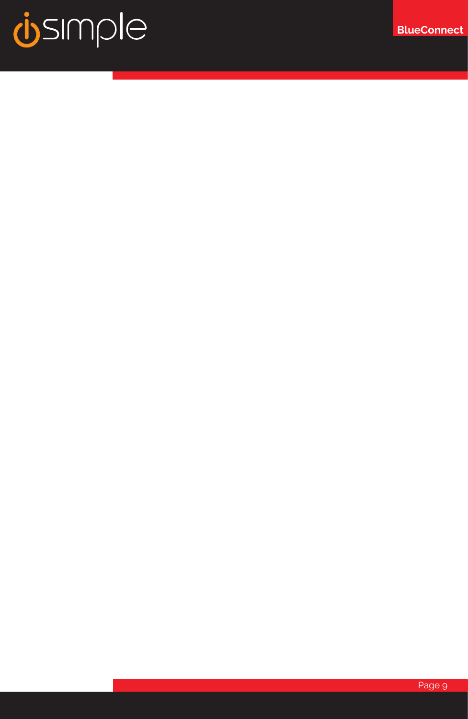# **j**simple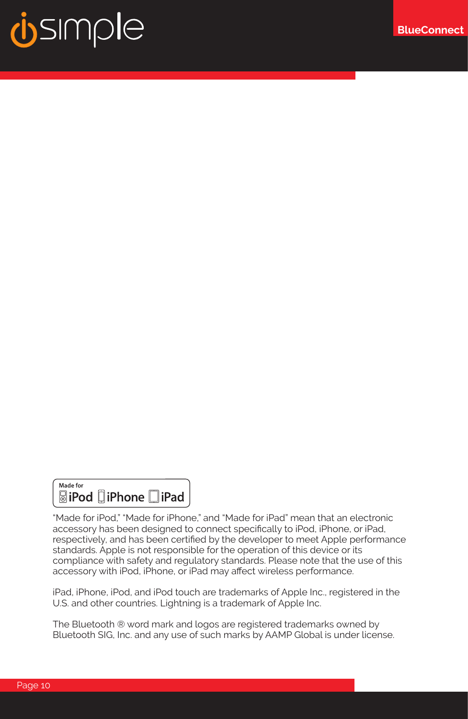## Made for **SiPod** DiPhone DiPad

"Made for iPod," "Made for iPhone," and "Made for iPad" mean that an electronic accessory has been designed to connect specifically to iPod, iPhone, or iPad, respectively, and has been certified by the developer to meet Apple performance standards. Apple is not responsible for the operation of this device or its compliance with safety and regulatory standards. Please note that the use of this accessory with iPod, iPhone, or iPad may affect wireless performance.

iPad, iPhone, iPod, and iPod touch are trademarks of Apple Inc., registered in the U.S. and other countries. Lightning is a trademark of Apple Inc.

The Bluetooth ® word mark and logos are registered trademarks owned by Bluetooth SIG, Inc. and any use of such marks by AAMP Global is under license.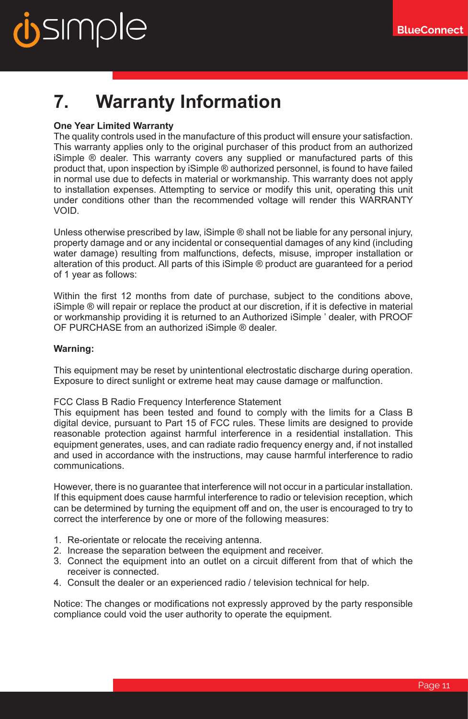# **7. Warranty Information**

### **One Year Limited Warranty**

The quality controls used in the manufacture of this product will ensure your satisfaction. This warranty applies only to the original purchaser of this product from an authorized iSimple ® dealer. This warranty covers any supplied or manufactured parts of this product that, upon inspection by iSimple ® authorized personnel, is found to have failed in normal use due to defects in material or workmanship. This warranty does not apply to installation expenses. Attempting to service or modify this unit, operating this unit under conditions other than the recommended voltage will render this WARRANTY VOID.

Unless otherwise prescribed by law, iSimple ® shall not be liable for any personal injury, property damage and or any incidental or consequential damages of any kind (including water damage) resulting from malfunctions, defects, misuse, improper installation or alteration of this product. All parts of this iSimple ® product are guaranteed for a period of 1 year as follows:

Within the first 12 months from date of purchase, subject to the conditions above, iSimple ® will repair or replace the product at our discretion, if it is defective in material or workmanship providing it is returned to an Authorized iSimple ' dealer, with PROOF OF PURCHASE from an authorized iSimple ® dealer.

#### **Warning:**

This equipment may be reset by unintentional electrostatic discharge during operation. Exposure to direct sunlight or extreme heat may cause damage or malfunction.

FCC Class B Radio Frequency Interference Statement

This equipment has been tested and found to comply with the limits for a Class B digital device, pursuant to Part 15 of FCC rules. These limits are designed to provide reasonable protection against harmful interference in a residential installation. This equipment generates, uses, and can radiate radio frequency energy and, if not installed and used in accordance with the instructions, may cause harmful interference to radio communications.

However, there is no guarantee that interference will not occur in a particular installation. If this equipment does cause harmful interference to radio or television reception, which can be determined by turning the equipment off and on, the user is encouraged to try to correct the interference by one or more of the following measures:

- 1. Re-orientate or relocate the receiving antenna.
- 2. Increase the separation between the equipment and receiver.
- 3. Connect the equipment into an outlet on a circuit different from that of which the receiver is connected.
- 4. Consult the dealer or an experienced radio / television technical for help.

Notice: The changes or modifications not expressly approved by the party responsible compliance could void the user authority to operate the equipment.